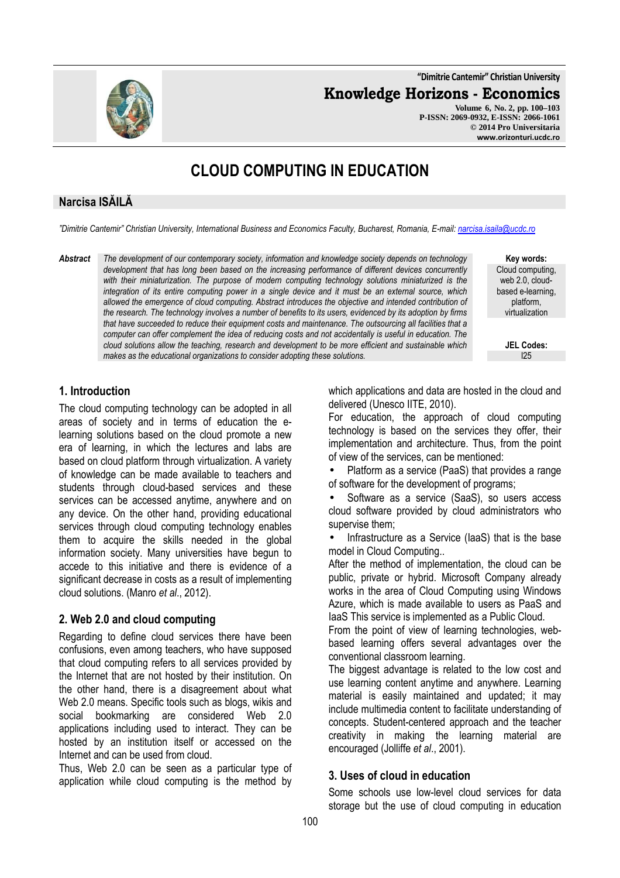**"Dimitrie Cantemir" Christian University**

**Knowledge Horizons - Economics**

**Volume 6, No. 2, pp. 100–103 P-ISSN: 2069-0932, E-ISSN: 2066-1061 © 2014 Pro Universitaria www.orizonturi.ucdc.ro**

# **CLOUD COMPUTING IN EDUCATION**

## **Narcisa ISĂILĂ**

*"Dimitrie Cantemir" Christian University, International Business and Economics Faculty, Bucharest, Romania, E-mail: narcisa.isaila@ucdc.ro*

*Abstract The development of our contemporary society, information and knowledge society depends on technology development that has long been based on the increasing performance of different devices concurrently with their miniaturization. The purpose of modern computing technology solutions miniaturized is the integration of its entire computing power in a single device and it must be an external source, which allowed the emergence of cloud computing. Abstract introduces the objective and intended contribution of the research. The technology involves a number of benefits to its users, evidenced by its adoption by firms that have succeeded to reduce their equipment costs and maintenance. The outsourcing all facilities that a computer can offer complement the idea of reducing costs and not accidentally is useful in education. The cloud solutions allow the teaching, research and development to be more efficient and sustainable which makes as the educational organizations to consider adopting these solutions.* 

**Key words:** Cloud computing, web 2.0, cloudbased e-learning, platform, virtualization

> **JEL Codes:** I25

### **1. Introduction**

The cloud computing technology can be adopted in all areas of society and in terms of education the elearning solutions based on the cloud promote a new era of learning, in which the lectures and labs are based on cloud platform through virtualization. A variety of knowledge can be made available to teachers and students through cloud-based services and these services can be accessed anytime, anywhere and on any device. On the other hand, providing educational services through cloud computing technology enables them to acquire the skills needed in the global information society. Many universities have begun to accede to this initiative and there is evidence of a significant decrease in costs as a result of implementing cloud solutions. (Manro *et al*., 2012).

## **2. Web 2.0 and cloud computing**

Regarding to define cloud services there have been confusions, even among teachers, who have supposed that cloud computing refers to all services provided by the Internet that are not hosted by their institution. On the other hand, there is a disagreement about what Web 2.0 means. Specific tools such as blogs, wikis and social bookmarking are considered Web 2.0 applications including used to interact. They can be hosted by an institution itself or accessed on the Internet and can be used from cloud.

Thus, Web 2.0 can be seen as a particular type of application while cloud computing is the method by

which applications and data are hosted in the cloud and delivered (Unesco IITE, 2010).

For education, the approach of cloud computing technology is based on the services they offer, their implementation and architecture. Thus, from the point of view of the services, can be mentioned:

• Platform as a service (PaaS) that provides a range of software for the development of programs;

Software as a service (SaaS), so users access cloud software provided by cloud administrators who supervise them;

Infrastructure as a Service (IaaS) that is the base model in Cloud Computing..

After the method of implementation, the cloud can be public, private or hybrid. Microsoft Company already works in the area of Cloud Computing using Windows Azure, which is made available to users as PaaS and IaaS This service is implemented as a Public Cloud.

From the point of view of learning technologies, webbased learning offers several advantages over the conventional classroom learning.

The biggest advantage is related to the low cost and use learning content anytime and anywhere. Learning material is easily maintained and updated; it may include multimedia content to facilitate understanding of concepts. Student-centered approach and the teacher creativity in making the learning material are encouraged (Jolliffe *et al*., 2001).

#### **3. Uses of cloud in education**

Some schools use low-level cloud services for data storage but the use of cloud computing in education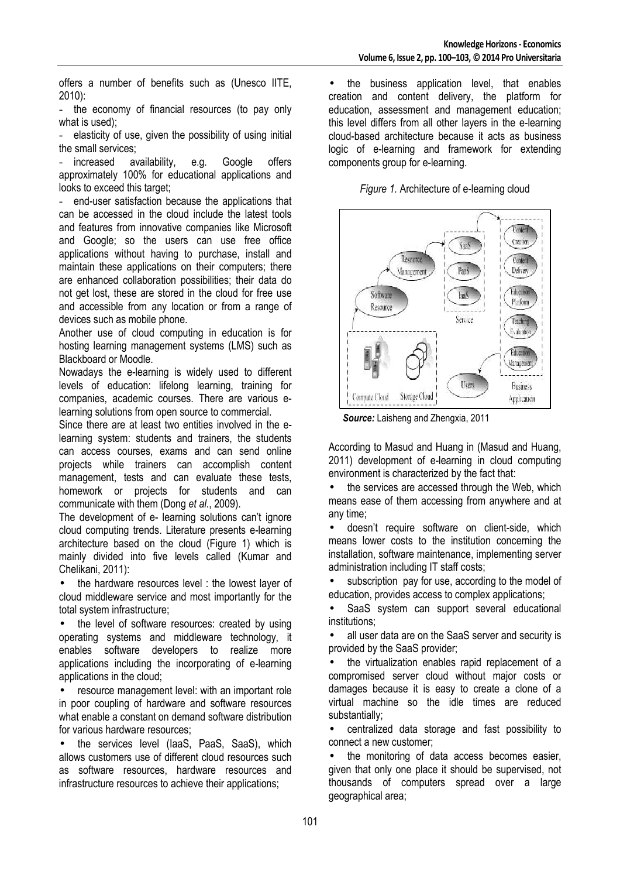offers a number of benefits such as (Unesco IITE, 2010):

the economy of financial resources (to pay only what is used);

elasticity of use, given the possibility of using initial the small services;

increased availability, e.g. Google offers approximately 100% for educational applications and looks to exceed this target:

- end-user satisfaction because the applications that can be accessed in the cloud include the latest tools and features from innovative companies like Microsoft and Google; so the users can use free office applications without having to purchase, install and maintain these applications on their computers; there are enhanced collaboration possibilities; their data do not get lost, these are stored in the cloud for free use and accessible from any location or from a range of devices such as mobile phone.

Another use of cloud computing in education is for hosting learning management systems (LMS) such as Blackboard or Moodle.

Nowadays the e-learning is widely used to different levels of education: lifelong learning, training for companies, academic courses. There are various elearning solutions from open source to commercial.

Since there are at least two entities involved in the elearning system: students and trainers, the students can access courses, exams and can send online projects while trainers can accomplish content management, tests and can evaluate these tests, homework or projects for students and can communicate with them (Dong *et al*., 2009).

The development of e- learning solutions can't ignore cloud computing trends. Literature presents e-learning architecture based on the cloud (Figure 1) which is mainly divided into five levels called (Kumar and Chelikani, 2011):

• the hardware resources level : the lowest layer of cloud middleware service and most importantly for the total system infrastructure;

the level of software resources: created by using operating systems and middleware technology, it enables software developers to realize more applications including the incorporating of e-learning applications in the cloud;

• resource management level: with an important role in poor coupling of hardware and software resources what enable a constant on demand software distribution for various hardware resources;

• the services level (IaaS, PaaS, SaaS), which allows customers use of different cloud resources such as software resources, hardware resources and infrastructure resources to achieve their applications;

• the business application level, that enables creation and content delivery, the platform for education, assessment and management education; this level differs from all other layers in the e-learning cloud-based architecture because it acts as business logic of e-learning and framework for extending components group for e-learning.





 *Source:* Laisheng and Zhengxia, 2011

According to Masud and Huang in (Masud and Huang, 2011) development of e-learning in cloud computing environment is characterized by the fact that:

• the services are accessed through the Web, which means ease of them accessing from anywhere and at any time;

• doesn't require software on client-side, which means lower costs to the institution concerning the installation, software maintenance, implementing server administration including IT staff costs;

• subscription pay for use, according to the model of education, provides access to complex applications;

SaaS system can support several educational institutions;

• all user data are on the SaaS server and security is provided by the SaaS provider;

the virtualization enables rapid replacement of a compromised server cloud without major costs or damages because it is easy to create a clone of a virtual machine so the idle times are reduced substantially;

• centralized data storage and fast possibility to connect a new customer;

the monitoring of data access becomes easier. given that only one place it should be supervised, not thousands of computers spread over a large geographical area;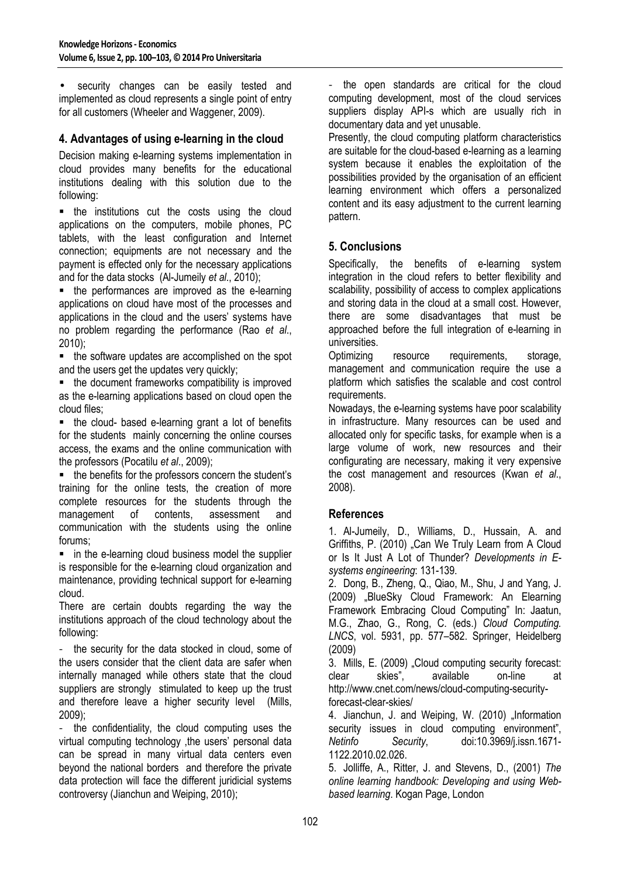• security changes can be easily tested and implemented as cloud represents a single point of entry for all customers (Wheeler and Waggener, 2009).

#### **4. Advantages of using e-learning in the cloud**

Decision making e-learning systems implementation in cloud provides many benefits for the educational institutions dealing with this solution due to the following:

**the institutions cut the costs using the cloud** applications on the computers, mobile phones, PC tablets, with the least configuration and Internet connection; equipments are not necessary and the payment is effected only for the necessary applications and for the data stocks (Al-Jumeily *et al*., 2010);

• the performances are improved as the e-learning applications on cloud have most of the processes and applications in the cloud and the users' systems have no problem regarding the performance (Rao *et al*., 2010);

• the software updates are accomplished on the spot and the users get the updates very quickly;

• the document frameworks compatibility is improved as the e-learning applications based on cloud open the cloud files;

• the cloud- based e-learning grant a lot of benefits for the students mainly concerning the online courses access, the exams and the online communication with the professors (Pocatilu *et al*., 2009);

• the benefits for the professors concern the student's training for the online tests, the creation of more complete resources for the students through the management of contents, assessment and communication with the students using the online forums;

 $\blacksquare$  in the e-learning cloud business model the supplier is responsible for the e-learning cloud organization and maintenance, providing technical support for e-learning cloud.

There are certain doubts regarding the way the institutions approach of the cloud technology about the following:

- the security for the data stocked in cloud, some of the users consider that the client data are safer when internally managed while others state that the cloud suppliers are strongly stimulated to keep up the trust and therefore leave a higher security level (Mills,  $2009$ 

- the confidentiality, the cloud computing uses the virtual computing technology ,the users' personal data can be spread in many virtual data centers even beyond the national borders and therefore the private data protection will face the different juridicial systems controversy (Jianchun and Weiping, 2010);

- the open standards are critical for the cloud computing development, most of the cloud services suppliers display API-s which are usually rich in documentary data and yet unusable.

Presently, the cloud computing platform characteristics are suitable for the cloud-based e-learning as a learning system because it enables the exploitation of the possibilities provided by the organisation of an efficient learning environment which offers a personalized content and its easy adjustment to the current learning pattern.

#### **5. Conclusions**

Specifically, the benefits of e-learning system integration in the cloud refers to better flexibility and scalability, possibility of access to complex applications and storing data in the cloud at a small cost. However, there are some disadvantages that must be approached before the full integration of e-learning in universities.

Optimizing resource requirements, storage, management and communication require the use a platform which satisfies the scalable and cost control requirements.

Nowadays, the e-learning systems have poor scalability in infrastructure. Many resources can be used and allocated only for specific tasks, for example when is a large volume of work, new resources and their configurating are necessary, making it very expensive the cost management and resources (Kwan *et al*., 2008).

#### **References**

1. Al-Jumeily, D., Williams, D., Hussain, A. and Griffiths, P. (2010) "Can We Truly Learn from A Cloud or Is It Just A Lot of Thunder? *Developments in Esystems engineering*: 131-139.

2. Dong, B., Zheng, Q., Qiao, M., Shu, J and Yang, J. (2009) "BlueSky Cloud Framework: An Elearning Framework Embracing Cloud Computing" In: Jaatun, M.G., Zhao, G., Rong, C. (eds.) *Cloud Computing. LNCS*, vol. 5931, pp. 577–582. Springer, Heidelberg (2009)

3. Mills, E. (2009) "Cloud computing security forecast: clear skies", available on-line at http://www.cnet.com/news/cloud-computing-securityforecast-clear-skies/

4. Jianchun, J. and Weiping, W. (2010) "Information security issues in cloud computing environment", *Netinfo Security*, doi:10.3969/j.issn.1671- 1122.2010.02.026.

5. Jolliffe, A., Ritter, J. and Stevens, D., (2001) *The online learning handbook: Developing and using Webbased learning*. Kogan Page, London